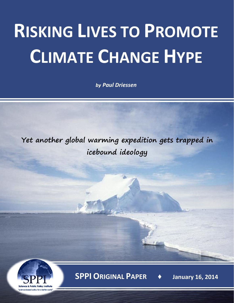## **RISKING LIVES TO PROMOTE CLIMATE CHANGE HYPE**

*by Paul Driessen*

**Yet another global warming expedition gets trapped in icebound ideology**



**SPPI ORIGINAL PAPER ♦ January 16, 2014**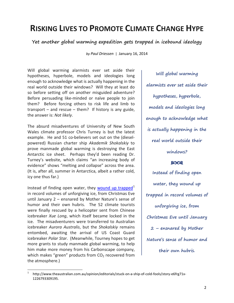## **RISKING LIVES TO PROMOTE CLIMATE CHANGE HYPE**

**Yet another global warming expedition gets trapped in icebound ideology**

*by Paul Driessen* | January 16, 2014

Will global warming alarmists ever set aside their hypotheses, hyperbole, models and ideologies long enough to acknowledge what is actually happening in the real world outside their windows? Will they at least do so before setting off on another misguided adventure? Before persuading like-minded or naïve people to join them? Before forcing others to risk life and limb to transport – and rescue – them? If history is any guide, the answer is: *Not likely*.

The absurd misadventures of University of New South Wales climate professor Chris Turney is but the latest example. He and 51 co-believers set out on the (dieselpowered) Russian charter ship *Akademik Shokalskiy* to prove manmade global warming is destroying the East Antarctic ice sheet. Perhaps they'd been reading Dr. Turney's website, which claims "an increasing body of evidence" shows "melting and collapse" across the area. (It is, after all, summer in Antarctica, albeit a rather cold, icy one thus far.)

Instead of finding open water, they [wound up trapped](http://www.theaustralian.com.au/opinion/editorials/stuck-on-a-ship-of-cold-fools/story-e6frg71x-1226793309195) $1$ in record volumes of unforgiving ice, from Christmas Eve until January 2 – ensnared by Mother Nature's sense of humor and their own hubris. The 52 climate tourists were finally rescued by a helicopter sent from Chinese icebreaker *Xue Long*, which itself became locked in the ice. The misadventurers were transferred to Australian icebreaker *Aurora Australis*, but the *Shokalskiy* remains entombed, awaiting the arrival of US Coast Guard icebreaker *Polar Star*. (Meanwhile, Tourney hopes to get more grants to study manmade global warming, to help him make more money from his Carbonscape company, which makes "green" products from  $CO<sub>2</sub>$  recovered from the atmosphere.)

**Will global warming alarmists ever set aside their hypotheses, hyperbole, models and ideologies long enough to acknowledge what is actually happening in the real world outside their windows?**

## ෨෬

**Instead of finding open water, they wound up trapped in record volumes of unforgiving ice, from Christmas Eve until January 2 – ensnared by Mother Nature's sense of humor and their own hubris.**

<span id="page-1-0"></span> <sup>1</sup> http://www.theaustralian.com.au/opinion/editorials/stuck-on-a-ship-of-cold-fools/story-e6frg71x-1226793309195.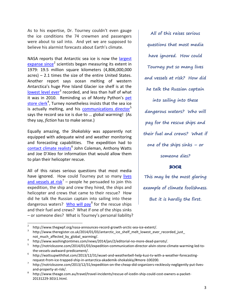As to his expertise, Dr. Tourney couldn't even gauge the ice conditions the 74 crewmen and passengers were about to sail into. And yet we are supposed to believe his alarmist forecasts about Earth's climate.

NASA reports that Antarctic sea ice is now the [largest](http://www.thegwpf.org/nasa-announces-record-growth-arctic-sea-ice-extent/)  [expanse since](http://www.thegwpf.org/nasa-announces-record-growth-arctic-sea-ice-extent/)<sup>[2](#page-2-0)</sup> scientists began measuring its extent in 1979: 19.5 million square kilometers (4,806,000,000 acres) – 2.1 times the size of the entire United States. Another report says ocean melting of western Antarctica's huge Pine Island Glacier ice shelf is at the [lowest level ever](http://www.theregister.co.uk/2014/01/03/antarctic_ice_shelf_melt_lowest_ever_recorded_just_not_much_affected_by_global_warming/)<sup>[3](#page-2-1)</sup> recorded, and less than half of what it was in 2010. Reminding us of Monty Python's pet [store clerk](http://www.washingtontimes.com/news/2014/jan/2/editorial-no-more-dead-parrots/)<sup>[4](#page-2-2)</sup>, Turney nonetheless insists that the sea ice is actually melting, and his [communications director](http://notrickszone.com/2014/01/03/expedition-communication-director-alvin-stone-climate-warming-led-to-the-vessels-awkward-predicament/)<sup>[5](#page-2-3)</sup> says the record sea ice is due to … global warming! (As they say, *fiction* has to make sense.)

Equally amazing, the *Shokalskiy* was apparently not equipped with adequate wind and weather monitoring and forecasting capabilities. The expedition had to [contact climate realists](http://wattsupwiththat.com/2013/12/31/wuwt-and-weatherbell-help-kusi-tv-with-a-weather-forecasting-request-from-ice-trapped-ship-in-antarctica-akademik-shokalskiy/#more-100200)<sup>[6](#page-2-4)</sup> John Coleman, Anthony Watts and Joe D'Aleo for information that would allow them to plan their helicopter rescue.

All of this raises serious questions that most media have ignored. How could Tourney put so many lives [and vessels at risk](http://notrickszone.com/2013/12/31/expedition-on-the-cheap-did-organizers-recklessly-negligently-put-lives-and-property-at-risk/)<sup>[7](#page-2-5)</sup> – people he persuaded to join this expedition, the ship and crew they hired, the ships and helicopter and crews that came to their rescue? How did he talk the Russian captain into sailing into these dangerous waters? [Who will pay](http://www.theage.com.au/travel/travel-incidents/rescue-of-icedin-ship-could-cost-owners-a-packet-20131229-301t1.html)<sup>[8](#page-2-6)</sup> for the rescue ships and their fuel and crews? What if one of the ships sinks – or someone dies? What is Tourney's personal liability?

**All of this raises serious questions that most media have ignored. How could Tourney put so many lives and vessels at risk? How did he talk the Russian captain into sailing into these dangerous waters? Who will pay for the rescue ships and their fuel and crews? What if one of the ships sinks – or someone dies? SOQR** 

**This may be the most glaring example of climate foolishness. But it is hardly the first.**

<span id="page-2-1"></span><span id="page-2-0"></span>

<sup>&</sup>lt;sup>2</sup> http://www.thegwpf.org/nasa-announces-record-growth-arctic-sea-ice-extent/.<br><sup>3</sup> http://www.theregister.co.uk/2014/01/03/antarctic ice\_shelf\_melt\_lowest\_ever\_recorded\_just\_

<span id="page-2-3"></span>

<span id="page-2-2"></span>not\_much\_affected\_by\_global\_warming/.<br>http://www.washingtontimes.com/news/2014/jan/2/editorial-no-more-dead-parrots/.<br>http://notrickszone.com/2014/01/03/expedition-communication-director-alvin-stone-climate-warming-led-tothe-vessels-awkward-predicament/.<br>http://wattsupwiththat.com/2013/12/31/wuwt-and-weatherbell-help-kusi-tv-with-a-weather-forecasting-

<span id="page-2-4"></span>

<span id="page-2-5"></span>request-from-ice-trapped-ship-in-antarctica-akademik-shokalskiy/#more-100200.<br><sup>7</sup> http://notrickszone.com/2013/12/31/expedition-on-the-cheap-did-organizers-recklessly-negligently-put-livesand-property-at-risk/.<br>http://www.theage.com.au/travel/travel-incidents/rescue-of-icedin-ship-could-cost-owners-a-packet-

<span id="page-2-6"></span><sup>20131229-301</sup>t1.html.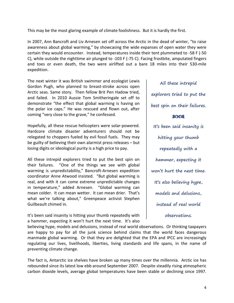This may be the most glaring example of climate foolishness. But it is hardly the first.

In 2007, Ann Bancroft and Liv Arnesen set off across the Arctic in the dead of winter, "to raise awareness about global warming," by showcasing the wide expanses of open water they were certain they would encounter. Instead, temperatures inside their tent plummeted to -58 F (-50 C), while outside the nighttime air plunged to -103 F (-75 C). Facing frostbite, amputated fingers and toes or even death, the two were airlifted out a bare 18 miles into their 530-mile expedition.

The next winter it was British swimmer and ecologist Lewis Gordon Pugh, who planned to breast-stroke across open Arctic seas. Same story. Then fellow Brit Pen Hadow tried, and failed. In 2010 Aussie Tom Smitheringale set off to demonstrate "the effect that global warming is having on the polar ice caps." He was rescued and flown out, after coming "very close to the grave," he confessed.

Hopefully, all these rescue helicopters were solar-powered. Hardcore climate disaster adventurers should not be relegated to choppers fueled by evil fossil fuels. They may be guilty of believing their own alarmist press releases – but losing digits or ideological purity is a high price to pay.

All these intrepid explorers tried to put the best spin on their failures. "One of the things we see with global warming is unpredictability," Bancroft-Arnesen expedition coordinator Anne Atwood insisted. "But global warming is real, and with it can come extreme unpredictable changes in temperature," added Arnesen. "Global warming can mean colder. It can mean wetter. It can mean drier. That's what we're talking about," Greenpeace activist Stephen Guilbeault chimed in.

It's been said insanity is hitting your thumb repeatedly with a hammer, expecting it won't hurt the next time. It's also **explorers tried to put the best spin on their failures.** മാരു **It's been said insanity is hitting your thumb repeatedly with a hammer, expecting it won't hurt the next time. It's also believing hype, models and delusions, instead of real world** 

**All these intrepid** 

**observations.**

believing hype, models and delusions, instead of real world observations. Or thinking taxpayers are happy to pay for all the junk science behind claims that the world faces dangerous manmade global warming. Or that they are delighted that the EPA and IPCC are increasingly regulating our lives, livelihoods, liberties, living standards and life spans, in the name of preventing climate change.

The fact is, Antarctic ice shelves have broken up many times over the millennia. Arctic ice has rebounded since its latest low ebb around September 2007. Despite steadily rising atmospheric carbon dioxide levels, average global temperatures have been stable or declining since 1997.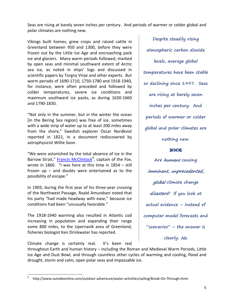Seas are rising at barely seven inches per century. And periods of warmer or colder global and polar climates are nothing new.

Vikings built homes, grew crops and raised cattle in Greenland between 950 and 1300, before they were frozen out by the Little Ice Age and encroaching pack ice and glaciers. Many warm periods followed, marked by open seas and minimal southward extent of Arctic sea ice, as noted in ships' logs and discussed in scientific papers by Torgny Vinje and other experts. But warm periods of 1690-1710, 1750-1780 and 1918-1940, for instance, were often preceded and followed by colder temperatures, severe ice conditions and maximum southward ice packs, as during 1630-1660 and 1790-1830.

"Not only in the summer, but in the winter the ocean [in the Bering Sea region] was free of ice, sometimes with a wide strip of water up to at least 200 miles away from the shore," Swedish explorer Oscar Nordkvist reported in 1822, in a document rediscovered by astrophysicist Willie Soon.

"We were astonished by the total absence of ice in the Barrow Strait," **Francis McClintock**<sup>[9](#page-4-0)</sup>, captain of the *Fox*, wrote in 1860. "I was here at this time in 1854 – still frozen up – and doubts were entertained as to the possibility of escape."

In 1903, during the first year of his three-year crossing of the Northwest Passage, Roald Amundsen noted that his party "had made headway with ease," because ice conditions had been "unusually favorable."

The 1918-1940 warming also resulted in Atlantic cod increasing in population and expanding their range some 800 miles, to the Upernavik area of Greenland, fisheries biologist Ken Drinkwater has reported.

**Despite steadily rising atmospheric carbon dioxide levels, average global temperatures have been stable or declining since 1997. Seas are rising at barely seven inches per century. And periods of warmer or colder global and polar climates are nothing new.**

## **SOOR**

**Are** humans **causing**  imminent, unprecedented, global **climate change**  disasters**? If you look at actual evidence – instead of computer model forecasts and "scenarios" – the answer is** 

**clearly:** No**.**

Climate change is certainly real. It's been real

throughout Earth and human history – including the Roman and Medieval Warm Periods, Little Ice Age and Dust Bowl, and through countless other cycles of warming and cooling, flood and drought, storm and calm, open polar seas and impassable ice.

<span id="page-4-0"></span> <sup>9</sup> http://www.outsideonline.com/outdoor-adventure/water-activities/sailing/Break-On-Through.html.